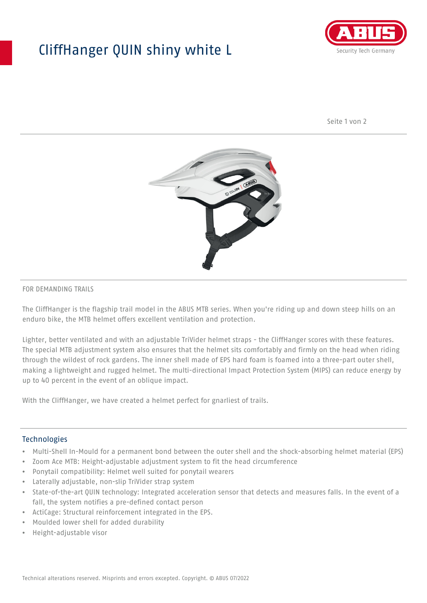## CliffHanger QUIN shiny white L



Seite 1 von 2



#### FOR DEMANDING TRAILS

The CliffHanger is the flagship trail model in the ABUS MTB series. When you're riding up and down steep hills on an enduro bike, the MTB helmet offers excellent ventilation and protection.

Lighter, better ventilated and with an adjustable TriVider helmet straps - the CliffHanger scores with these features. The special MTB adjustment system also ensures that the helmet sits comfortably and firmly on the head when riding through the wildest of rock gardens. The inner shell made of EPS hard foam is foamed into a three-part outer shell, making a lightweight and rugged helmet. The multi-directional Impact Protection System (MIPS) can reduce energy by up to 40 percent in the event of an oblique impact.

With the CliffHanger, we have created a helmet perfect for gnarliest of trails.

#### Technologies

- Multi-Shell In-Mould for a permanent bond between the outer shell and the shock-absorbing helmet material (EPS)
- Zoom Ace MTB: Height-adjustable adjustment system to fit the head circumference
- Ponytail compatibility: Helmet well suited for ponytail wearers
- Laterally adjustable, non-slip TriVider strap system
- State-of-the-art QUIN technology: Integrated acceleration sensor that detects and measures falls. In the event of a fall, the system notifies a pre-defined contact person
- ActiCage: Structural reinforcement integrated in the EPS.
- Moulded lower shell for added durability
- Height-adjustable visor